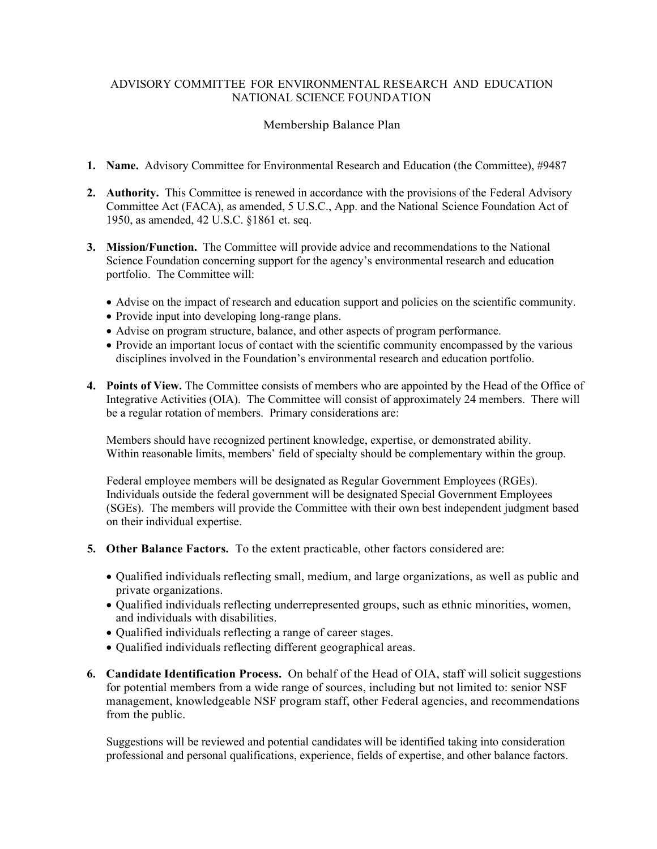## ADVISORY COMMITTEE FOR ENVIRONMENTAL RESEARCH AND EDUCATION NATIONAL SCIENCE FOUNDATION

## Membership Balance Plan

- 1. Name. Advisory Committee for Environmental Research and Education (the Committee), #9487
- 2. Authority. This Committee is renewed in accordance with the provisions of the Federal Advisory Committee Act (FACA), as amended, 5 U.S.C., App. and the National Science Foundation Act of 1950, as amended, 42 U.S.C. §1861 et. seq.
- 3. Mission/Function. The Committee will provide advice and recommendations to the National Science Foundation concerning support for the agency's environmental research and education portfolio. The Committee will:
	- Advise on the impact of research and education support and policies on the scientific community.
	- Provide input into developing long-range plans.
	- Advise on program structure, balance, and other aspects of program performance.
	- Provide an important locus of contact with the scientific community encompassed by the various disciplines involved in the Foundation's environmental research and education portfolio.
- 4. Points of View. The Committee consists of members who are appointed by the Head of the Office of Integrative Activities (OIA). The Committee will consist of approximately 24 members. There will be a regular rotation of members. Primary considerations are:

 Members should have recognized pertinent knowledge, expertise, or demonstrated ability. Within reasonable limits, members' field of specialty should be complementary within the group.

 Federal employee members will be designated as Regular Government Employees (RGEs). Individuals outside the federal government will be designated Special Government Employees (SGEs). The members will provide the Committee with their own best independent judgment based on their individual expertise.

- 5. Other Balance Factors. To the extent practicable, other factors considered are:
	- Qualified individuals reflecting small, medium, and large organizations, as well as public and private organizations.
	- Qualified individuals reflecting underrepresented groups, such as ethnic minorities, women, and individuals with disabilities.
	- Qualified individuals reflecting a range of career stages.
	- Qualified individuals reflecting different geographical areas.
- 6. Candidate Identification Process. On behalf of the Head of OIA, staff will solicit suggestions for potential members from a wide range of sources, including but not limited to: senior NSF management, knowledgeable NSF program staff, other Federal agencies, and recommendations from the public.

 Suggestions will be reviewed and potential candidates will be identified taking into consideration professional and personal qualifications, experience, fields of expertise, and other balance factors.